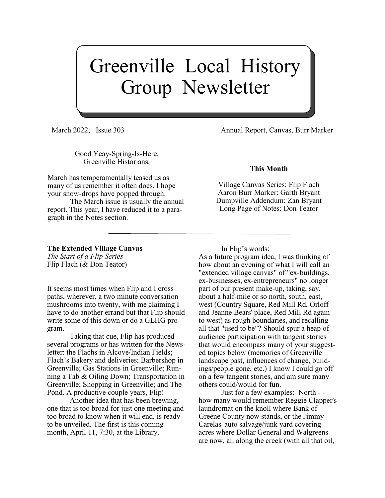# Greenville Local History Group Newsletter

Good Yeay-Spring-Is-Here, Greenville Historians,

March has temperamentally teased us as many of us remember it often does. I hope your snow-drops have popped through.

The March issue is usually the annual report. This year, I have reduced it to a paragraph in the Notes section.

**The Extended Village Canvas** *The Start of a Flip Series*

Flip Flach (& Don Teator)

It seems most times when Flip and I cross paths, wherever, a two minute conversation mushrooms into twenty, with me claiming I have to do another errand but that Flip should write some of this down or do a GLHG program.

Taking that cue, Flip has produced several programs or has written for the Newsletter: the Flachs in Alcove/Indian Fields; Flach's Bakery and deliveries; Barbershop in Greenville; Gas Stations in Greenville; Running a Tab & Oiling Down; Transportation in Greenville; Shopping in Greenville; and The Pond. A productive couple years, Flip!

Another idea that has been brewing, one that is too broad for just one meeting and too broad to know when it will end, is ready to be unveiled. The first is this coming month, April 11, 7:30, at the Library.

March 2022, Issue 303 Annual Report, Canvas, Burr Marker

#### **This Month**

Village Canvas Series: Flip Flach Aaron Burr Marker: Garth Bryant Dumpville Addendum: Zan Bryant Long Page of Notes: Don Teator

In Flip's words:

As a future program idea, I was thinking of how about an evening of what I will call an "extended village canvas" of "ex-buildings, ex-businesses, ex-entrepreneurs" no longer part of our present make-up, taking, say, about a half-mile or so north, south, east, west (Country Square, Red Mill Rd, Orloff and Jeanne Bears' place, Red Mill Rd again to west) as rough boundaries, and recalling all that "used to be"? Should spur a heap of audience participation with tangent stories that would encompass many of your suggested topics below (memories of Greenville landscape past, influences of change, buildings/people gone, etc.) I know I could go off on a few tangent stories, and am sure many others could/would for fun.

Just for a few examples: North - how many would remember Reggie Clapper's laundromat on the knoll where Bank of Greene County now stands, or the Jimmy Carelas' auto salvage/junk yard covering acres where Dollar General and Walgreens are now, all along the creek (with all that oil,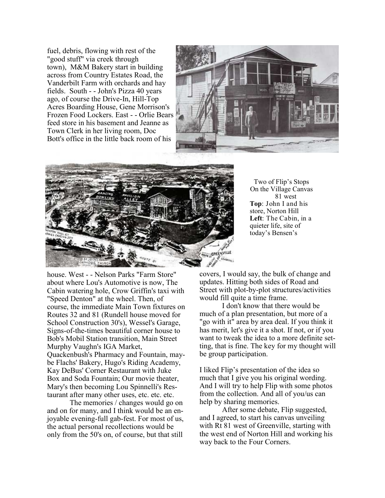fuel, debris, flowing with rest of the "good stuff" via creek through town), M&M Bakery start in building across from Country Estates Road, the Vanderbilt Farm with orchards and hay fields. South - - John's Pizza 40 years ago, of course the Drive-In, Hill-Top Acres Boarding House, Gene Morrison's Frozen Food Lockers. East - - Orlie Bears feed store in his basement and Jeanne as Town Clerk in her living room, Doc Bott's office in the little back room of his





Two of Flip's Stops On the Village Canvas 81 west **Top**: John I and his store, Norton Hill **Left**: The Cabin, in a quieter life, site of today's Bensen's

house. West - - Nelson Parks "Farm Store" about where Lou's Automotive is now, The Cabin watering hole, Crow Griffin's taxi with "Speed Denton" at the wheel. Then, of course, the immediate Main Town fixtures on Routes 32 and 81 (Rundell house moved for School Construction 30's), Wessel's Garage, Signs-of-the-times beautiful corner house to Bob's Mobil Station transition, Main Street Murphy Vaughn's IGA Market, Quackenbush's Pharmacy and Fountain, maybe Flachs' Bakery, Hugo's Riding Academy, Kay DeBus' Corner Restaurant with Juke Box and Soda Fountain; Our movie theater, Mary's then becoming Lou Spinnelli's Restaurant after many other uses, etc. etc. etc.

The memories / changes would go on and on for many, and I think would be an enjoyable evening-full gab-fest. For most of us, the actual personal recollections would be only from the 50's on, of course, but that still

covers, I would say, the bulk of change and updates. Hitting both sides of Road and Street with plot-by-plot structures/activities would fill quite a time frame.

I don't know that there would be much of a plan presentation, but more of a "go with it" area by area deal. If you think it has merit, let's give it a shot. If not, or if you want to tweak the idea to a more definite setting, that is fine. The key for my thought will be group participation.

I liked Flip's presentation of the idea so much that I give you his original wording. And I will try to help Flip with some photos from the collection. And all of you/us can help by sharing memories.

After some debate, Flip suggested, and I agreed, to start his canvas unveiling with Rt 81 west of Greenville, starting with the west end of Norton Hill and working his way back to the Four Corners.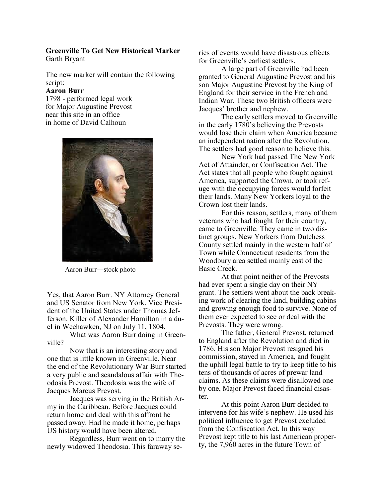#### **Greenville To Get New Historical Marker** Garth Bryant

The new marker will contain the following script:

### **Aaron Burr**

1798 - performed legal work for Major Augustine Prevost near this site in an office in home of David Calhoun



Aaron Burr—stock photo

Yes, that Aaron Burr. NY Attorney General and US Senator from New York. Vice President of the United States under Thomas Jefferson. Killer of Alexander Hamilton in a duel in Weehawken, NJ on July 11, 1804.

What was Aaron Burr doing in Greenville?

Now that is an interesting story and one that is little known in Greenville. Near the end of the Revolutionary War Burr started a very public and scandalous affair with Theodosia Prevost. Theodosia was the wife of Jacques Marcus Prevost.

Jacques was serving in the British Army in the Caribbean. Before Jacques could return home and deal with this affront he passed away. Had he made it home, perhaps US history would have been altered.

Regardless, Burr went on to marry the newly widowed Theodosia. This faraway series of events would have disastrous effects for Greenville's earliest settlers.

A large part of Greenville had been granted to General Augustine Prevost and his son Major Augustine Prevost by the King of England for their service in the French and Indian War. These two British officers were Jacques' brother and nephew.

The early settlers moved to Greenville in the early 1780's believing the Prevosts would lose their claim when America became an independent nation after the Revolution. The settlers had good reason to believe this.

New York had passed The New York Act of Attainder, or Confiscation Act. The Act states that all people who fought against America, supported the Crown, or took refuge with the occupying forces would forfeit their lands. Many New Yorkers loyal to the Crown lost their lands.

For this reason, settlers, many of them veterans who had fought for their country, came to Greenville. They came in two distinct groups. New Yorkers from Dutchess County settled mainly in the western half of Town while Connecticut residents from the Woodbury area settled mainly east of the Basic Creek.

At that point neither of the Prevosts had ever spent a single day on their NY grant. The settlers went about the back breaking work of clearing the land, building cabins and growing enough food to survive. None of them ever expected to see or deal with the Prevosts. They were wrong.

The father, General Prevost, returned to England after the Revolution and died in 1786. His son Major Prevost resigned his commission, stayed in America, and fought the uphill legal battle to try to keep title to his tens of thousands of acres of prewar land claims. As these claims were disallowed one by one, Major Prevost faced financial disaster.

At this point Aaron Burr decided to intervene for his wife's nephew. He used his political influence to get Prevost excluded from the Confiscation Act. In this way Prevost kept title to his last American property, the 7,960 acres in the future Town of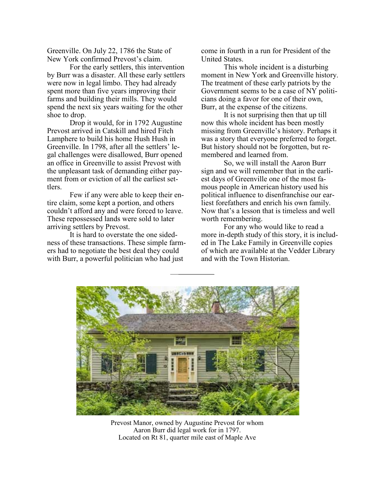Greenville. On July 22, 1786 the State of New York confirmed Prevost's claim.

For the early settlers, this intervention by Burr was a disaster. All these early settlers were now in legal limbo. They had already spent more than five years improving their farms and building their mills. They would spend the next six years waiting for the other shoe to drop.

Drop it would, for in 1792 Augustine Prevost arrived in Catskill and hired Fitch Lamphere to build his home Hush Hush in Greenville. In 1798, after all the settlers' legal challenges were disallowed, Burr opened an office in Greenville to assist Prevost with the unpleasant task of demanding either payment from or eviction of all the earliest settlers.

Few if any were able to keep their entire claim, some kept a portion, and others couldn't afford any and were forced to leave. These repossessed lands were sold to later arriving settlers by Prevost.

It is hard to overstate the one sidedness of these transactions. These simple farmers had to negotiate the best deal they could with Burr, a powerful politician who had just

come in fourth in a run for President of the United States.

This whole incident is a disturbing moment in New York and Greenville history. The treatment of these early patriots by the Government seems to be a case of NY politicians doing a favor for one of their own, Burr, at the expense of the citizens.

It is not surprising then that up till now this whole incident has been mostly missing from Greenville's history. Perhaps it was a story that everyone preferred to forget. But history should not be forgotten, but remembered and learned from.

So, we will install the Aaron Burr sign and we will remember that in the earliest days of Greenville one of the most famous people in American history used his political influence to disenfranchise our earliest forefathers and enrich his own family. Now that's a lesson that is timeless and well worth remembering.

For any who would like to read a more in-depth study of this story, it is included in The Lake Family in Greenville copies of which are available at the Vedder Library and with the Town Historian.



Prevost Manor, owned by Augustine Prevost for whom Aaron Burr did legal work for in 1797. Located on Rt 81, quarter mile east of Maple Ave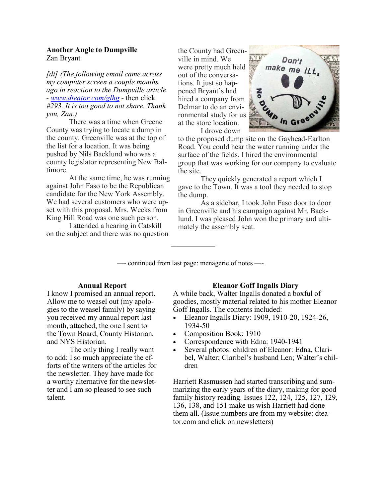#### **Another Angle to Dumpville** Zan Bryant

*[dt] (The following email came across my computer screen a couple months ago in reaction to the Dumpville article - [www.dteator.com/glhg](http://www.dteator.com/glhg) -* then click *#293. It is too good to not share. Thank you, Zan.)*

There was a time when Greene County was trying to locate a dump in the county. Greenville was at the top of the list for a location. It was being pushed by Nils Backlund who was a county legislator representing New Baltimore.

At the same time, he was running against John Faso to be the Republican candidate for the New York Assembly. We had several customers who were upset with this proposal. Mrs. Weeks from King Hill Road was one such person.

I attended a hearing in Catskill on the subject and there was no question

the County had Greenville in mind. We were pretty much held out of the conversations. It just so happened Bryant's had hired a company from Delmar to do an environmental study for us at the store location. I drove down



to the proposed dump site on the Gayhead-Earlton Road. You could hear the water running under the surface of the fields. I hired the environmental group that was working for our company to evaluate the site.

They quickly generated a report which I gave to the Town. It was a tool they needed to stop the dump.

As a sidebar, I took John Faso door to door in Greenville and his campaign against Mr. Backlund. I was pleased John won the primary and ultimately the assembly seat.

—- continued from last page: menagerie of notes —-

#### **Annual Report**

I know I promised an annual report. Allow me to weasel out (my apologies to the weasel family) by saying you received my annual report last month, attached, the one I sent to the Town Board, County Historian, and NYS Historian.

The only thing I really want to add: I so much appreciate the efforts of the writers of the articles for the newsletter. They have made for a worthy alternative for the newsletter and I am so pleased to see such talent.

#### **Eleanor Goff Ingalls Diary**

A while back, Walter Ingalls donated a boxful of goodies, mostly material related to his mother Eleanor Goff Ingalls. The contents included:

- Eleanor Ingalls Diary: 1909, 1910-20, 1924-26, 1934-50
- Composition Book: 1910
- Correspondence with Edna: 1940-1941
- Several photos: children of Eleanor: Edna, Claribel, Walter; Claribel's husband Len; Walter's children

Harriett Rasmussen had started transcribing and summarizing the early years of the diary, making for good family history reading. Issues 122, 124, 125, 127, 129, 136, 138, and 151 make us wish Harriett had done them all. (Issue numbers are from my website: dteator.com and click on newsletters)